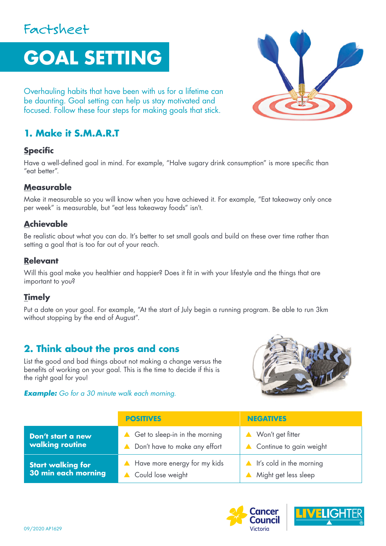# Factsheet

# **GOAL SETTING**

Overhauling habits that have been with us for a lifetime can be daunting. Goal setting can help us stay motivated and focused. Follow these four steps for making goals that stick.

# **1. Make it S.M.A.R.T**

#### **Specific**

Have a well-defined goal in mind. For example, "Halve sugary drink consumption" is more specific than "eat better".

#### **Measurable**

Make it measurable so you will know when you have achieved it. For example, "Eat takeaway only once per week" is measurable, but "eat less takeaway foods" isn't.

## **Achievable**

Be realistic about what you can do. It's better to set small goals and build on these over time rather than setting a goal that is too far out of your reach.

#### **Relevant**

Will this goal make you healthier and happier? Does it fit in with your lifestyle and the things that are important to you?

### **Timely**

Put a date on your goal. For example, "At the start of July begin a running program. Be able to run 3km without stopping by the end of August".

# **2. Think about the pros and cons**

List the good and bad things about not making a change versus the benefits of working on your goal. This is the time to decide if this is the right goal for you!

#### *Example: Go for a 30 minute walk each morning.*



|                          | <b>POSITIVES</b>               | <b>NEGATIVES</b>                     |
|--------------------------|--------------------------------|--------------------------------------|
| Don't start a new        | Get to sleep-in in the morning | Won't get fitter                     |
| walking routine          | Don't have to make any effort  | Continue to gain weight              |
| <b>Start walking for</b> | A Have more energy for my kids | $\triangle$ It's cold in the morning |
| 30 min each morning      | Could lose weight              | Might get less sleep                 |





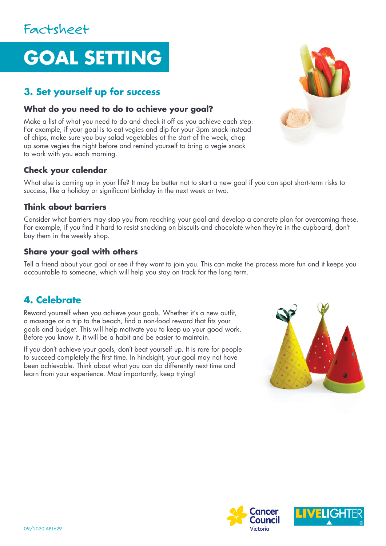# **GOAL SETTING**

# **3. Set yourself up for success**

## **What do you need to do to achieve your goal?**

Make a list of what you need to do and check it off as you achieve each step. For example, if your goal is to eat vegies and dip for your 3pm snack instead of chips, make sure you buy salad vegetables at the start of the week, chop up some vegies the night before and remind yourself to bring a vegie snack to work with you each morning.

# **Check your calendar**

What else is coming up in your life? It may be better not to start a new goal if you can spot short-term risks to success, like a holiday or significant birthday in the next week or two.

## **Think about barriers**

Consider what barriers may stop you from reaching your goal and develop a concrete plan for overcoming these. For example, if you find it hard to resist snacking on biscuits and chocolate when they're in the cupboard, don't buy them in the weekly shop.

## **Share your goal with others**

Tell a friend about your goal or see if they want to join you. This can make the process more fun and it keeps you accountable to someone, which will help you stay on track for the long term.

# **4. Celebrate**

Reward yourself when you achieve your goals. Whether it's a new outfit, a massage or a trip to the beach, find a non-food reward that fits your goals and budget. This will help motivate you to keep up your good work. Before you know it, it will be a habit and be easier to maintain.

If you don't achieve your goals, don't beat yourself up. It is rare for people to succeed completely the first time. In hindsight, your goal may not have been achievable. Think about what you can do differently next time and learn from your experience. Most importantly, keep trying!